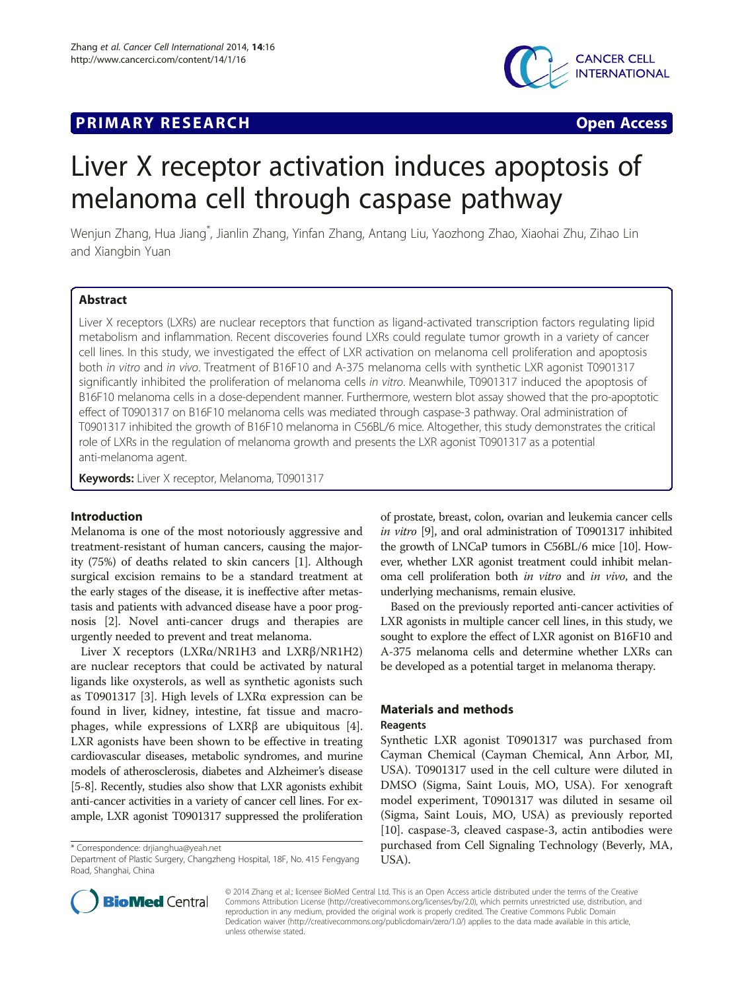# **PRIMARY RESEARCH CONSUMING ACCESS**



# Liver X receptor activation induces apoptosis of melanoma cell through caspase pathway

Wenjun Zhang, Hua Jiang<sup>\*</sup>, Jianlin Zhang, Yinfan Zhang, Antang Liu, Yaozhong Zhao, Xiaohai Zhu, Zihao Lin and Xiangbin Yuan

# Abstract

Liver X receptors (LXRs) are nuclear receptors that function as ligand-activated transcription factors regulating lipid metabolism and inflammation. Recent discoveries found LXRs could regulate tumor growth in a variety of cancer cell lines. In this study, we investigated the effect of LXR activation on melanoma cell proliferation and apoptosis both in vitro and in vivo. Treatment of B16F10 and A-375 melanoma cells with synthetic LXR agonist T0901317 significantly inhibited the proliferation of melanoma cells in vitro. Meanwhile, T0901317 induced the apoptosis of B16F10 melanoma cells in a dose-dependent manner. Furthermore, western blot assay showed that the pro-apoptotic effect of T0901317 on B16F10 melanoma cells was mediated through caspase-3 pathway. Oral administration of T0901317 inhibited the growth of B16F10 melanoma in C56BL/6 mice. Altogether, this study demonstrates the critical role of LXRs in the regulation of melanoma growth and presents the LXR agonist T0901317 as a potential anti-melanoma agent.

Keywords: Liver X receptor, Melanoma, T0901317

#### Introduction

Melanoma is one of the most notoriously aggressive and treatment-resistant of human cancers, causing the majority (75%) of deaths related to skin cancers [[1\]](#page-5-0). Although surgical excision remains to be a standard treatment at the early stages of the disease, it is ineffective after metastasis and patients with advanced disease have a poor prognosis [[2\]](#page-5-0). Novel anti-cancer drugs and therapies are urgently needed to prevent and treat melanoma.

Liver X receptors (LXRα/NR1H3 and LXRβ/NR1H2) are nuclear receptors that could be activated by natural ligands like oxysterols, as well as synthetic agonists such as T0901317 [[3](#page-5-0)]. High levels of LXRα expression can be found in liver, kidney, intestine, fat tissue and macrophages, while expressions of LXRβ are ubiquitous [\[4](#page-5-0)]. LXR agonists have been shown to be effective in treating cardiovascular diseases, metabolic syndromes, and murine models of atherosclerosis, diabetes and Alzheimer's disease [[5](#page-5-0)-[8\]](#page-5-0). Recently, studies also show that LXR agonists exhibit anti-cancer activities in a variety of cancer cell lines. For example, LXR agonist T0901317 suppressed the proliferation

\* Correspondence: [drjianghua@yeah.net](mailto:drjianghua@yeah.net)

of prostate, breast, colon, ovarian and leukemia cancer cells in vitro [\[9\]](#page-5-0), and oral administration of T0901317 inhibited the growth of LNCaP tumors in C56BL/6 mice [[10](#page-5-0)]. However, whether LXR agonist treatment could inhibit melanoma cell proliferation both in vitro and in vivo, and the underlying mechanisms, remain elusive.

Based on the previously reported anti-cancer activities of LXR agonists in multiple cancer cell lines, in this study, we sought to explore the effect of LXR agonist on B16F10 and A-375 melanoma cells and determine whether LXRs can be developed as a potential target in melanoma therapy.

# Materials and methods

# Reagents

Synthetic LXR agonist T0901317 was purchased from Cayman Chemical (Cayman Chemical, Ann Arbor, MI, USA). T0901317 used in the cell culture were diluted in DMSO (Sigma, Saint Louis, MO, USA). For xenograft model experiment, T0901317 was diluted in sesame oil (Sigma, Saint Louis, MO, USA) as previously reported [[10\]](#page-5-0). caspase-3, cleaved caspase-3, actin antibodies were purchased from Cell Signaling Technology (Beverly, MA, USA).



© 2014 Zhang et al.; licensee BioMed Central Ltd. This is an Open Access article distributed under the terms of the Creative Commons Attribution License [\(http://creativecommons.org/licenses/by/2.0\)](http://creativecommons.org/licenses/by/2.0), which permits unrestricted use, distribution, and reproduction in any medium, provided the original work is properly credited. The Creative Commons Public Domain Dedication waiver [\(http://creativecommons.org/publicdomain/zero/1.0/](http://creativecommons.org/publicdomain/zero/1.0/)) applies to the data made available in this article, unless otherwise stated.

Department of Plastic Surgery, Changzheng Hospital, 18F, No. 415 Fengyang Road, Shanghai, China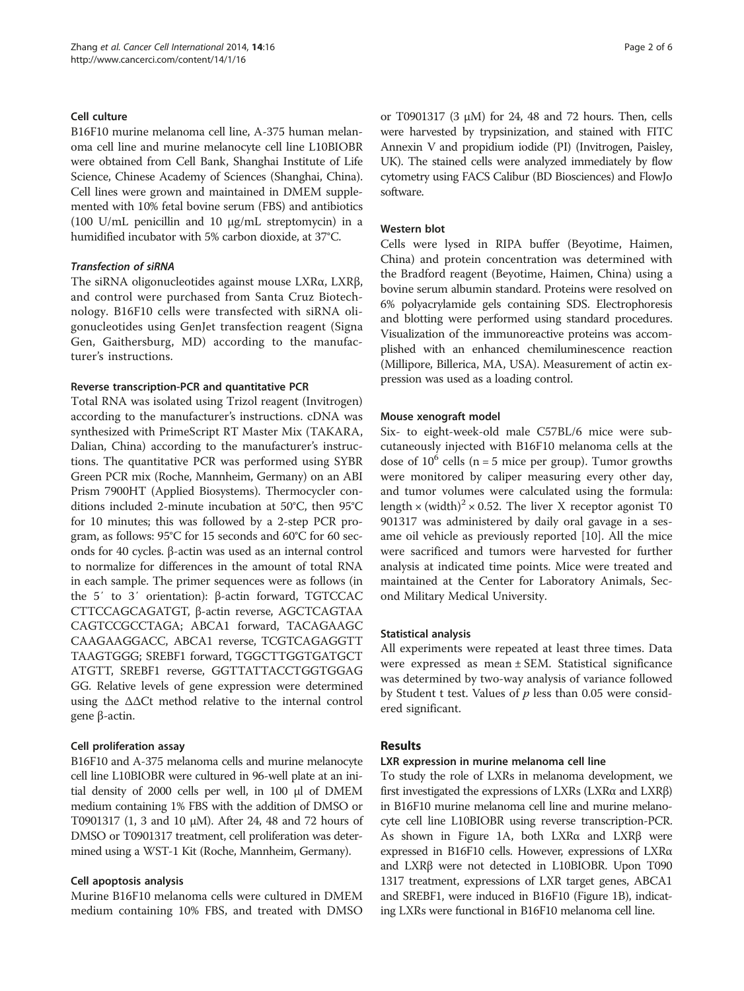# Cell culture

B16F10 murine melanoma cell line, A-375 human melanoma cell line and murine melanocyte cell line L10BIOBR were obtained from Cell Bank, Shanghai Institute of Life Science, Chinese Academy of Sciences (Shanghai, China). Cell lines were grown and maintained in DMEM supplemented with 10% fetal bovine serum (FBS) and antibiotics (100 U/mL penicillin and 10 μg/mL streptomycin) in a humidified incubator with 5% carbon dioxide, at 37°C.

# Transfection of siRNA

The siRNA oligonucleotides against mouse LXRα, LXRβ, and control were purchased from Santa Cruz Biotechnology. B16F10 cells were transfected with siRNA oligonucleotides using GenJet transfection reagent (Signa Gen, Gaithersburg, MD) according to the manufacturer's instructions.

#### Reverse transcription-PCR and quantitative PCR

Total RNA was isolated using Trizol reagent (Invitrogen) according to the manufacturer's instructions. cDNA was synthesized with PrimeScript RT Master Mix (TAKARA, Dalian, China) according to the manufacturer's instructions. The quantitative PCR was performed using SYBR Green PCR mix (Roche, Mannheim, Germany) on an ABI Prism 7900HT (Applied Biosystems). Thermocycler conditions included 2-minute incubation at 50°C, then 95°C for 10 minutes; this was followed by a 2-step PCR program, as follows: 95°C for 15 seconds and 60°C for 60 seconds for 40 cycles. β-actin was used as an internal control to normalize for differences in the amount of total RNA in each sample. The primer sequences were as follows (in the 5′ to 3′ orientation): β-actin forward, TGTCCAC CTTCCAGCAGATGT, β-actin reverse, AGCTCAGTAA CAGTCCGCCTAGA; ABCA1 forward, TACAGAAGC CAAGAAGGACC, ABCA1 reverse, TCGTCAGAGGTT TAAGTGGG; SREBF1 forward, TGGCTTGGTGATGCT ATGTT, SREBF1 reverse, GGTTATTACCTGGTGGAG GG. Relative levels of gene expression were determined using the ΔΔCt method relative to the internal control gene β-actin.

# Cell proliferation assay

B16F10 and A-375 melanoma cells and murine melanocyte cell line L10BIOBR were cultured in 96-well plate at an initial density of 2000 cells per well, in 100 μl of DMEM medium containing 1% FBS with the addition of DMSO or T0901317 (1, 3 and 10 μM). After 24, 48 and 72 hours of DMSO or T0901317 treatment, cell proliferation was determined using a WST-1 Kit (Roche, Mannheim, Germany).

#### Cell apoptosis analysis

Murine B16F10 melanoma cells were cultured in DMEM medium containing 10% FBS, and treated with DMSO

or T0901317 (3 μM) for 24, 48 and 72 hours. Then, cells were harvested by trypsinization, and stained with FITC Annexin V and propidium iodide (PI) (Invitrogen, Paisley, UK). The stained cells were analyzed immediately by flow cytometry using FACS Calibur (BD Biosciences) and FlowJo software.

# Western blot

Cells were lysed in RIPA buffer (Beyotime, Haimen, China) and protein concentration was determined with the Bradford reagent (Beyotime, Haimen, China) using a bovine serum albumin standard. Proteins were resolved on 6% polyacrylamide gels containing SDS. Electrophoresis and blotting were performed using standard procedures. Visualization of the immunoreactive proteins was accomplished with an enhanced chemiluminescence reaction (Millipore, Billerica, MA, USA). Measurement of actin expression was used as a loading control.

# Mouse xenograft model

Six- to eight-week-old male C57BL/6 mice were subcutaneously injected with B16F10 melanoma cells at the dose of  $10^6$  cells (n = 5 mice per group). Tumor growths were monitored by caliper measuring every other day, and tumor volumes were calculated using the formula: length  $\times$  (width)<sup>2</sup>  $\times$  0.52. The liver X receptor agonist T0 901317 was administered by daily oral gavage in a sesame oil vehicle as previously reported [[10](#page-5-0)]. All the mice were sacrificed and tumors were harvested for further analysis at indicated time points. Mice were treated and maintained at the Center for Laboratory Animals, Second Military Medical University.

#### Statistical analysis

All experiments were repeated at least three times. Data were expressed as mean ± SEM. Statistical significance was determined by two-way analysis of variance followed by Student t test. Values of  $p$  less than 0.05 were considered significant.

# Results

# LXR expression in murine melanoma cell line

To study the role of LXRs in melanoma development, we first investigated the expressions of LXRs (LXRα and LXRβ) in B16F10 murine melanoma cell line and murine melanocyte cell line L10BIOBR using reverse transcription-PCR. As shown in Figure [1](#page-2-0)A, both LXRα and LXRβ were expressed in B16F10 cells. However, expressions of LXRα and LXRβ were not detected in L10BIOBR. Upon T090 1317 treatment, expressions of LXR target genes, ABCA1 and SREBF1, were induced in B16F10 (Figure [1B](#page-2-0)), indicating LXRs were functional in B16F10 melanoma cell line.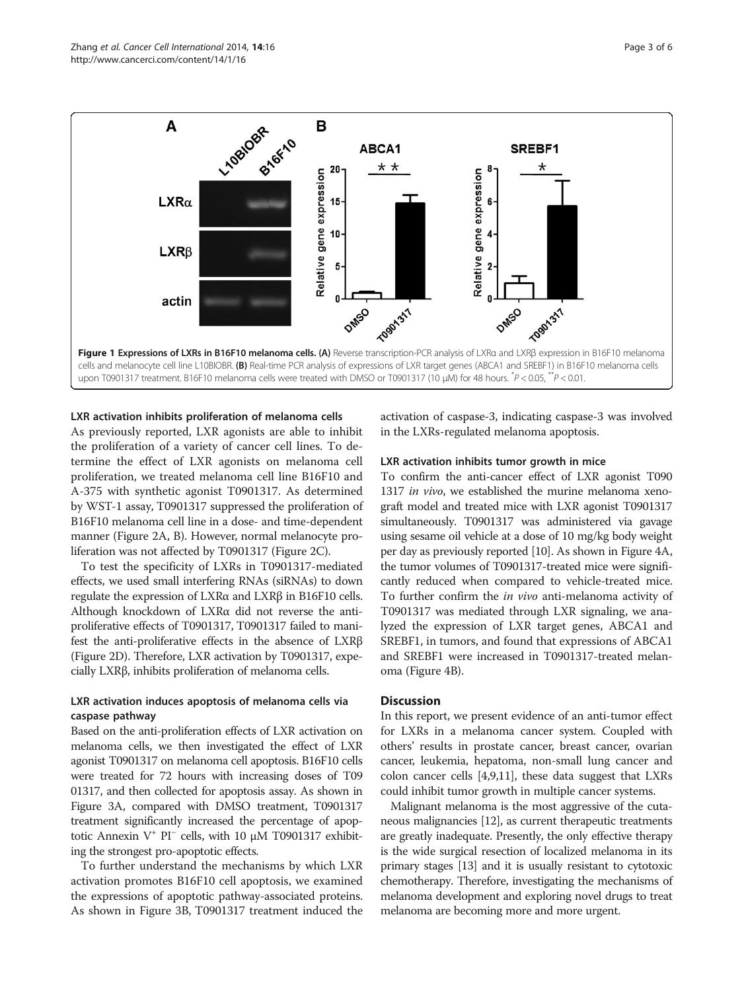<span id="page-2-0"></span>

#### LXR activation inhibits proliferation of melanoma cells

As previously reported, LXR agonists are able to inhibit the proliferation of a variety of cancer cell lines. To determine the effect of LXR agonists on melanoma cell proliferation, we treated melanoma cell line B16F10 and A-375 with synthetic agonist T0901317. As determined by WST-1 assay, T0901317 suppressed the proliferation of B16F10 melanoma cell line in a dose- and time-dependent manner (Figure [2A](#page-3-0), B). However, normal melanocyte proliferation was not affected by T0901317 (Figure [2](#page-3-0)C).

To test the specificity of LXRs in T0901317-mediated effects, we used small interfering RNAs (siRNAs) to down regulate the expression of LXRα and LXRβ in B16F10 cells. Although knockdown of LXRα did not reverse the antiproliferative effects of T0901317, T0901317 failed to manifest the anti-proliferative effects in the absence of LXRβ (Figure [2](#page-3-0)D). Therefore, LXR activation by T0901317, expecially LXRβ, inhibits proliferation of melanoma cells.

# LXR activation induces apoptosis of melanoma cells via caspase pathway

Based on the anti-proliferation effects of LXR activation on melanoma cells, we then investigated the effect of LXR agonist T0901317 on melanoma cell apoptosis. B16F10 cells were treated for 72 hours with increasing doses of T09 01317, and then collected for apoptosis assay. As shown in Figure [3](#page-4-0)A, compared with DMSO treatment, T0901317 treatment significantly increased the percentage of apoptotic Annexin V+ PI<sup>−</sup> cells, with 10 μM T0901317 exhibiting the strongest pro-apoptotic effects.

To further understand the mechanisms by which LXR activation promotes B16F10 cell apoptosis, we examined the expressions of apoptotic pathway-associated proteins. As shown in Figure [3](#page-4-0)B, T0901317 treatment induced the activation of caspase-3, indicating caspase-3 was involved in the LXRs-regulated melanoma apoptosis.

#### LXR activation inhibits tumor growth in mice

To confirm the anti-cancer effect of LXR agonist T090 1317 in vivo, we established the murine melanoma xenograft model and treated mice with LXR agonist T0901317 simultaneously. T0901317 was administered via gavage using sesame oil vehicle at a dose of 10 mg/kg body weight per day as previously reported [[10](#page-5-0)]. As shown in Figure [4](#page-4-0)A, the tumor volumes of T0901317-treated mice were significantly reduced when compared to vehicle-treated mice. To further confirm the in vivo anti-melanoma activity of T0901317 was mediated through LXR signaling, we analyzed the expression of LXR target genes, ABCA1 and SREBF1, in tumors, and found that expressions of ABCA1 and SREBF1 were increased in T0901317-treated melanoma (Figure [4B](#page-4-0)).

# **Discussion**

In this report, we present evidence of an anti-tumor effect for LXRs in a melanoma cancer system. Coupled with others' results in prostate cancer, breast cancer, ovarian cancer, leukemia, hepatoma, non-small lung cancer and colon cancer cells [\[4,9,11\]](#page-5-0), these data suggest that LXRs could inhibit tumor growth in multiple cancer systems.

Malignant melanoma is the most aggressive of the cutaneous malignancies [\[12\]](#page-5-0), as current therapeutic treatments are greatly inadequate. Presently, the only effective therapy is the wide surgical resection of localized melanoma in its primary stages [[13](#page-5-0)] and it is usually resistant to cytotoxic chemotherapy. Therefore, investigating the mechanisms of melanoma development and exploring novel drugs to treat melanoma are becoming more and more urgent.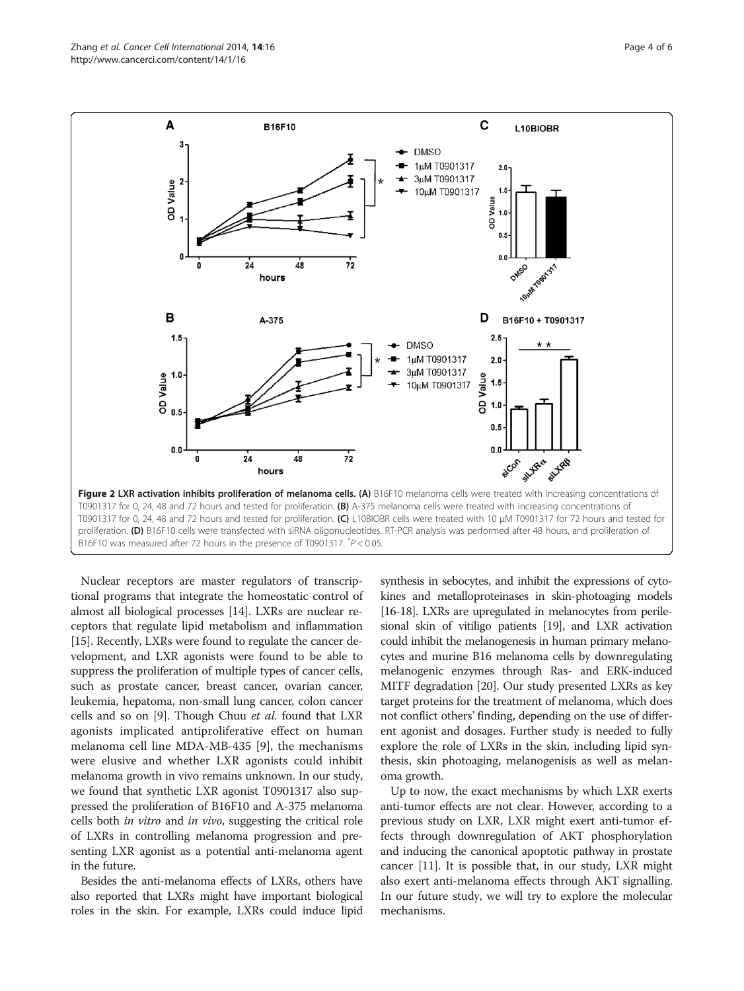<span id="page-3-0"></span>

Nuclear receptors are master regulators of transcriptional programs that integrate the homeostatic control of almost all biological processes [\[14\]](#page-5-0). LXRs are nuclear receptors that regulate lipid metabolism and inflammation [[15](#page-5-0)]. Recently, LXRs were found to regulate the cancer development, and LXR agonists were found to be able to suppress the proliferation of multiple types of cancer cells, such as prostate cancer, breast cancer, ovarian cancer, leukemia, hepatoma, non-small lung cancer, colon cancer cells and so on [\[9\]](#page-5-0). Though Chuu et al. found that LXR agonists implicated antiproliferative effect on human melanoma cell line MDA-MB-435 [\[9](#page-5-0)], the mechanisms were elusive and whether LXR agonists could inhibit melanoma growth in vivo remains unknown. In our study, we found that synthetic LXR agonist T0901317 also suppressed the proliferation of B16F10 and A-375 melanoma cells both in vitro and in vivo, suggesting the critical role of LXRs in controlling melanoma progression and presenting LXR agonist as a potential anti-melanoma agent in the future.

Besides the anti-melanoma effects of LXRs, others have also reported that LXRs might have important biological roles in the skin. For example, LXRs could induce lipid synthesis in sebocytes, and inhibit the expressions of cytokines and metalloproteinases in skin-photoaging models [[16](#page-5-0)-[18\]](#page-5-0). LXRs are upregulated in melanocytes from perilesional skin of vitiligo patients [\[19](#page-5-0)], and LXR activation could inhibit the melanogenesis in human primary melanocytes and murine B16 melanoma cells by downregulating melanogenic enzymes through Ras- and ERK-induced MITF degradation [\[20\]](#page-5-0). Our study presented LXRs as key target proteins for the treatment of melanoma, which does not conflict others' finding, depending on the use of different agonist and dosages. Further study is needed to fully explore the role of LXRs in the skin, including lipid synthesis, skin photoaging, melanogenisis as well as melanoma growth.

Up to now, the exact mechanisms by which LXR exerts anti-tumor effects are not clear. However, according to a previous study on LXR, LXR might exert anti-tumor effects through downregulation of AKT phosphorylation and inducing the canonical apoptotic pathway in prostate cancer [\[11\]](#page-5-0). It is possible that, in our study, LXR might also exert anti-melanoma effects through AKT signalling. In our future study, we will try to explore the molecular mechanisms.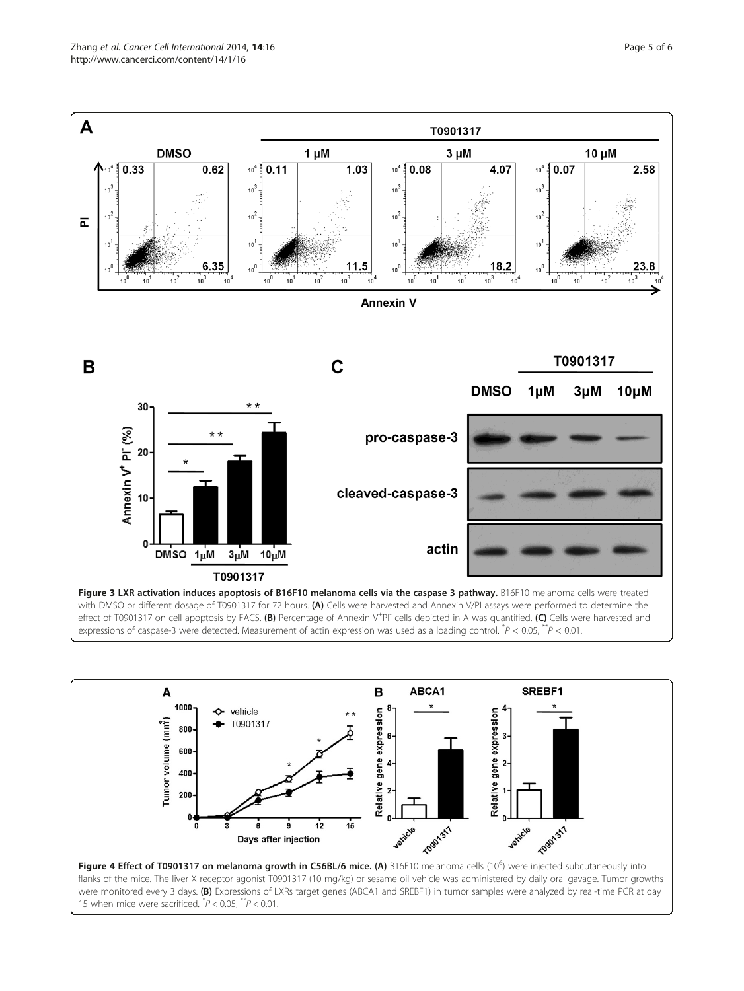<span id="page-4-0"></span>